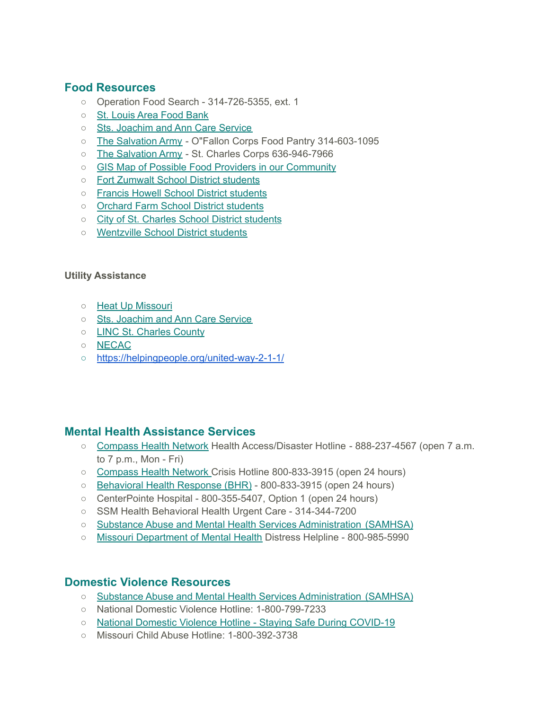## **Food Resources**

- Operation Food Search 314-726-5355, ext. 1
- St. [Louis](https://stlfoodbank.org/covid19/) Area Food Bank
- Sts. [Joachim](https://www.jacares.org/) and Ann Care Service
- The [Salvation](http://stlsalvationarmy.org/) Army O"Fallon Corps Food Pantry 314-603-1095
- The [Salvation](http://stlsalvationarmy.org/) Army St. Charles Corps 636-946-7966
- GIS Map of Possible Food Providers in our [Community](https://www.google.com/maps/d/viewer?mid=1d2uXcDhBJRpAl9bkDV1TEtw7LvfjxaOZ&ll=38.9244677291486%2C-90.81628598139918&z=9)
- Fort [Zumwalt](https://www.fz.k12.mo.us/news/what_s_new/coronavirus__covid-19__information) School District students
- Francis Howell School District [students](https://www.fhsdschools.org/)
- Orchard Farm School District [students](http://www.ofsd.k12.mo.us/)
- City of St. Charles School District [students](https://mo01910164.schoolwires.net/StCharles)
- [Wentzville](https://www.wentzville.k12.mo.us/Page/9722) School District students

## **Utility Assistance**

- Heat Up [Missouri](http://www.heatupmissouri.org/)
- Sts. [Joachim](http://www.jacares.org/) and Ann Care Service
- LINC St. [Charles](https://lincscc.wordpress.com/) County
- [NECAC](http://www.necac.org/)
- <https://helpingpeople.org/united-way-2-1-1/>

## **Mental Health Assistance Services**

- [Compass](http://www.compasshealthnetwork.org/) Health Network Health Access/Disaster Hotline 888-237-4567 (open 7 a.m. to 7 p.m., Mon - Fri)
- [Compass](http://www.compasshealthnetwork.org/) Health Network Crisis Hotline 800-833-3915 (open 24 hours)
- [Behavioral](http://bhrstl.org/) Health Response (BHR) 800-833-3915 (open 24 hours)
- CenterPointe Hospital 800-355-5407, Option 1 (open 24 hours)
- SSM Health Behavioral Health Urgent Care 314-344-7200
- Substance Abuse and Mental Health Services [Administration](https://www.samhsa.gov/) (SAMHSA)
- Missouri [Department](https://dmh.mo.gov/) of Mental Health Distress Helpline 800-985-5990

## **Domestic Violence Resources**

- Substance Abuse and Mental Health Services [Administration](https://www.samhsa.gov/sites/default/files/social-distancing-domestic-violence.pdf) (SAMHSA)
- National Domestic Violence Hotline: 1-800-799-7233
- National Domestic Violence Hotline Staying Safe During [COVID-19](http://thehotline.org/2020/03/13/staying-safe-during-covid-19/)
- Missouri Child Abuse Hotline: 1-800-392-3738